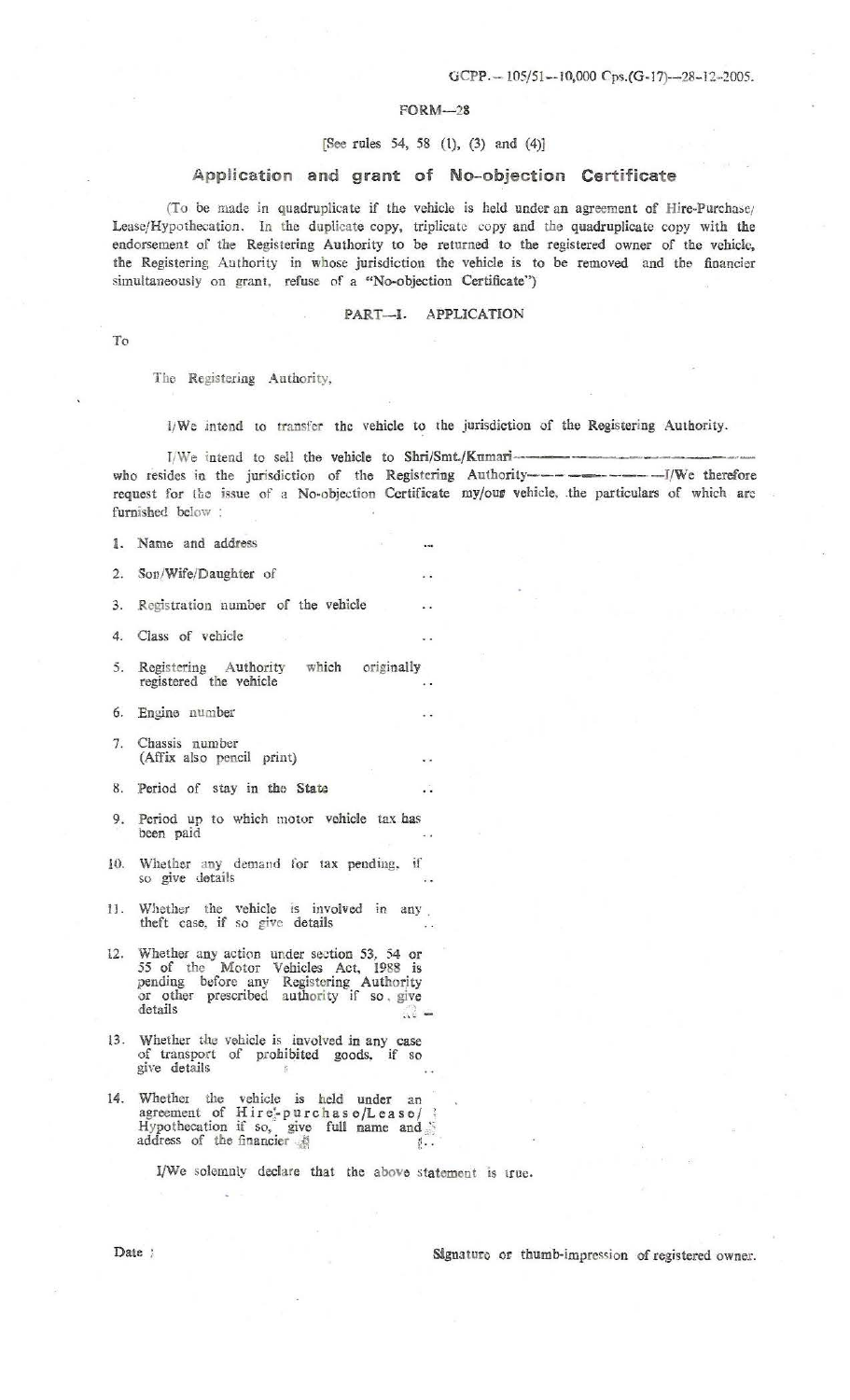### FORM-28

#### (See rules 54, 58 (t), (3) and (4)}

## Application and grant of No-objection Certificate

(To be made in quadruplicate if the vehicle is held under an agreement of Hire-Purchase; Leasc/Hypothecation. In the duplicate copy, triplicate copy and the quadruplicate copy with the endorsement of the Registering Authority to be returned to the registered owner of the vehicle, the Registering Authority in whose jurisdiction the vehicle is to be removed and tbe financier simultaneously on grant, refuse of a "No-objection Certificate")

#### PART-I. APPLICATION

To

Tho Registering Authority,

f/ We .intend LO transfer the vehicle to the jurisdiction of the Registering Authority. I/We intend to sell the vehicle to Shri/Smt./Kumari- ----- who resides in the jurisdiction of the Registering Autbority----------1/We therefore request for the issue of a No-objection Certificate my/our vehicle, the particulars of which are furnished below :

sing.

 $\ddot{\phantom{a}}$ 

1. Name and address

2. Son/Wife/Daughter of

3. Registration number of the vehicle

4. Class of vehicle

- 5. Registering Authority which originally registered the vehicle
- 6. Engine number
- 7. Chassis number **(Affix** also pencil print)
- 8. Period of stay in tho State
- 9. Period up to which motor vehicle tax has been paid
- 10. Whether any demand for tax pending, if so give details
- IJ. Whether the vehicle is involved in any . theft case, if so give details
- 12. Whether any action under section 53, 54 or *55* of the Motor Vehicles Act, 1988 is pending before any Registering Authority or other prescribed authority if so give details **b**  $:$   $\frac{1}{2}$   $-$
- 13. Whether the vehicle is involved in any case of transport of prohibited goods. if so give details
- 14. Whether the vehicle is held under an agreement of  $Air \, e^i_P$  purchas  $e/L$  ease/ Hypothecation if so, give full name and address of the financier  $\#$  f...

I/We solemnly declare that the above statement is true.